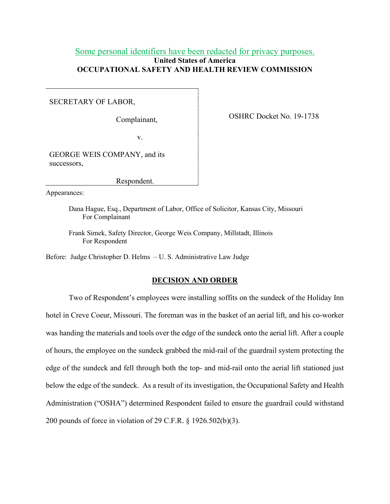## Some personal identifiers have been redacted for privacy purposes. **United States of America OCCUPATIONAL SAFETY AND HEALTH REVIEW COMMISSION**

SECRETARY OF LABOR,

Complainant,

OSHRC Docket No. 19-1738

v.

GEORGE WEIS COMPANY, and its successors,

Respondent.

Appearances:

Dana Hague, Esq., Department of Labor, Office of Solicitor, Kansas City, Missouri For Complainant

Frank Simek, Safety Director, George Weis Company, Millstadt, Illinois For Respondent

Before: Judge Christopher D. Helms – U. S. Administrative Law Judge

### **DECISION AND ORDER**

Two of Respondent's employees were installing soffits on the sundeck of the Holiday Inn hotel in Creve Coeur, Missouri. The foreman was in the basket of an aerial lift, and his co-worker was handing the materials and tools over the edge of the sundeck onto the aerial lift. After a couple of hours, the employee on the sundeck grabbed the mid-rail of the guardrail system protecting the edge of the sundeck and fell through both the top- and mid-rail onto the aerial lift stationed just below the edge of the sundeck. As a result of its investigation, the Occupational Safety and Health Administration ("OSHA") determined Respondent failed to ensure the guardrail could withstand 200 pounds of force in violation of 29 C.F.R. § 1926.502(b)(3).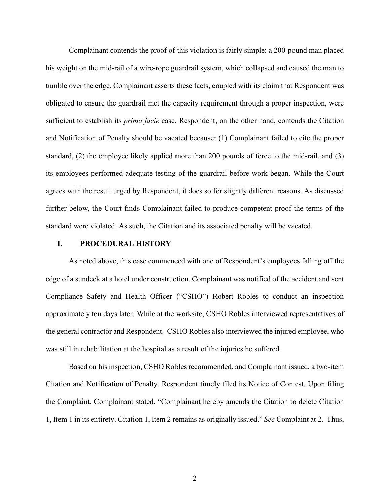Complainant contends the proof of this violation is fairly simple: a 200-pound man placed his weight on the mid-rail of a wire-rope guardrail system, which collapsed and caused the man to tumble over the edge. Complainant asserts these facts, coupled with its claim that Respondent was obligated to ensure the guardrail met the capacity requirement through a proper inspection, were sufficient to establish its *prima facie* case. Respondent, on the other hand, contends the Citation and Notification of Penalty should be vacated because: (1) Complainant failed to cite the proper standard, (2) the employee likely applied more than 200 pounds of force to the mid-rail, and (3) its employees performed adequate testing of the guardrail before work began. While the Court agrees with the result urged by Respondent, it does so for slightly different reasons. As discussed further below, the Court finds Complainant failed to produce competent proof the terms of the standard were violated. As such, the Citation and its associated penalty will be vacated.

### **I. PROCEDURAL HISTORY**

 As noted above, this case commenced with one of Respondent's employees falling off the edge of a sundeck at a hotel under construction. Complainant was notified of the accident and sent Compliance Safety and Health Officer ("CSHO") Robert Robles to conduct an inspection approximately ten days later. While at the worksite, CSHO Robles interviewed representatives of the general contractor and Respondent. CSHO Robles also interviewed the injured employee, who was still in rehabilitation at the hospital as a result of the injuries he suffered.

Based on his inspection, CSHO Robles recommended, and Complainant issued, a two-item Citation and Notification of Penalty. Respondent timely filed its Notice of Contest. Upon filing the Complaint, Complainant stated, "Complainant hereby amends the Citation to delete Citation 1, Item 1 in its entirety. Citation 1, Item 2 remains as originally issued." *See* Complaint at 2. Thus,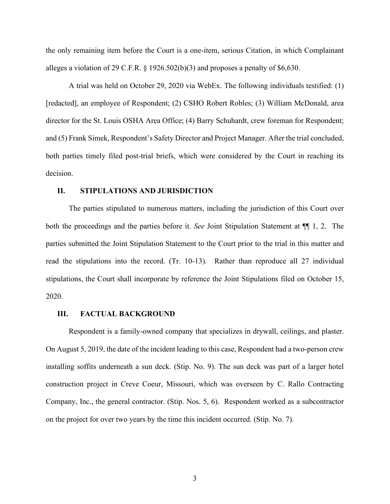the only remaining item before the Court is a one-item, serious Citation, in which Complainant alleges a violation of 29 C.F.R. § 1926.502(b)(3) and proposes a penalty of \$6,630.

A trial was held on October 29, 2020 via WebEx. The following individuals testified: (1) [redacted], an employee of Respondent; (2) CSHO Robert Robles; (3) William McDonald, area director for the St. Louis OSHA Area Office; (4) Barry Schuhardt, crew foreman for Respondent; and (5) Frank Simek, Respondent's Safety Director and Project Manager. After the trial concluded, both parties timely filed post-trial briefs, which were considered by the Court in reaching its decision.

### **II. STIPULATIONS AND JURISDICTION**

The parties stipulated to numerous matters, including the jurisdiction of this Court over both the proceedings and the parties before it. *See* Joint Stipulation Statement at ¶¶ 1, 2. The parties submitted the Joint Stipulation Statement to the Court prior to the trial in this matter and read the stipulations into the record. (Tr. 10-13). Rather than reproduce all 27 individual stipulations, the Court shall incorporate by reference the Joint Stipulations filed on October 15, 2020.

#### **III. FACTUAL BACKGROUND**

Respondent is a family-owned company that specializes in drywall, ceilings, and plaster. On August 5, 2019, the date of the incident leading to this case, Respondent had a two-person crew installing soffits underneath a sun deck. (Stip. No. 9). The sun deck was part of a larger hotel construction project in Creve Coeur, Missouri, which was overseen by C. Rallo Contracting Company, Inc., the general contractor. (Stip. Nos. 5, 6). Respondent worked as a subcontractor on the project for over two years by the time this incident occurred. (Stip. No. 7).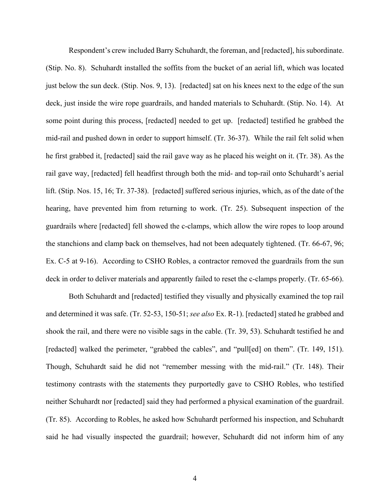Respondent's crew included Barry Schuhardt, the foreman, and [redacted], his subordinate. (Stip. No. 8). Schuhardt installed the soffits from the bucket of an aerial lift, which was located just below the sun deck. (Stip. Nos. 9, 13). [redacted] sat on his knees next to the edge of the sun deck, just inside the wire rope guardrails, and handed materials to Schuhardt. (Stip. No. 14). At some point during this process, [redacted] needed to get up. [redacted] testified he grabbed the mid-rail and pushed down in order to support himself. (Tr. 36-37). While the rail felt solid when he first grabbed it, [redacted] said the rail gave way as he placed his weight on it. (Tr. 38). As the rail gave way, [redacted] fell headfirst through both the mid- and top-rail onto Schuhardt's aerial lift. (Stip. Nos. 15, 16; Tr. 37-38). [redacted] suffered serious injuries, which, as of the date of the hearing, have prevented him from returning to work. (Tr. 25). Subsequent inspection of the guardrails where [redacted] fell showed the c-clamps, which allow the wire ropes to loop around the stanchions and clamp back on themselves, had not been adequately tightened. (Tr. 66-67, 96; Ex. C-5 at 9-16). According to CSHO Robles, a contractor removed the guardrails from the sun deck in order to deliver materials and apparently failed to reset the c-clamps properly. (Tr. 65-66).

Both Schuhardt and [redacted] testified they visually and physically examined the top rail and determined it was safe. (Tr. 52-53, 150-51; *see also* Ex. R-1). [redacted] stated he grabbed and shook the rail, and there were no visible sags in the cable. (Tr. 39, 53). Schuhardt testified he and [redacted] walked the perimeter, "grabbed the cables", and "pull[ed] on them". (Tr. 149, 151). Though, Schuhardt said he did not "remember messing with the mid-rail." (Tr. 148). Their testimony contrasts with the statements they purportedly gave to CSHO Robles, who testified neither Schuhardt nor [redacted] said they had performed a physical examination of the guardrail. (Tr. 85). According to Robles, he asked how Schuhardt performed his inspection, and Schuhardt said he had visually inspected the guardrail; however, Schuhardt did not inform him of any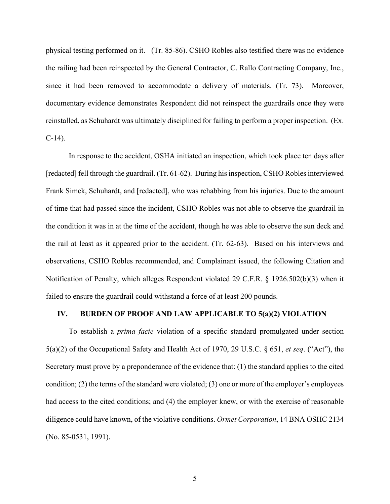physical testing performed on it. (Tr. 85-86). CSHO Robles also testified there was no evidence the railing had been reinspected by the General Contractor, C. Rallo Contracting Company, Inc., since it had been removed to accommodate a delivery of materials. (Tr. 73). Moreover, documentary evidence demonstrates Respondent did not reinspect the guardrails once they were reinstalled, as Schuhardt was ultimately disciplined for failing to perform a proper inspection. (Ex.  $C-14$ ).

 In response to the accident, OSHA initiated an inspection, which took place ten days after [redacted] fell through the guardrail. (Tr. 61-62). During his inspection, CSHO Robles interviewed Frank Simek, Schuhardt, and [redacted], who was rehabbing from his injuries. Due to the amount of time that had passed since the incident, CSHO Robles was not able to observe the guardrail in the condition it was in at the time of the accident, though he was able to observe the sun deck and the rail at least as it appeared prior to the accident. (Tr. 62-63). Based on his interviews and observations, CSHO Robles recommended, and Complainant issued, the following Citation and Notification of Penalty, which alleges Respondent violated 29 C.F.R. § 1926.502(b)(3) when it failed to ensure the guardrail could withstand a force of at least 200 pounds.

### **IV. BURDEN OF PROOF AND LAW APPLICABLE TO 5(a)(2) VIOLATION**

To establish a *prima facie* violation of a specific standard promulgated under section 5(a)(2) of the Occupational Safety and Health Act of 1970, 29 U.S.C. § 651, *et seq*. ("Act"), the Secretary must prove by a preponderance of the evidence that: (1) the standard applies to the cited condition; (2) the terms of the standard were violated; (3) one or more of the employer's employees had access to the cited conditions; and (4) the employer knew, or with the exercise of reasonable diligence could have known, of the violative conditions. *Ormet Corporation*, 14 BNA OSHC 2134 (No. 85-0531, 1991).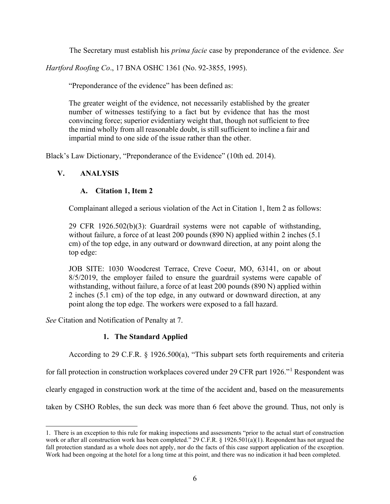The Secretary must establish his *prima facie* case by preponderance of the evidence. *See* 

*Hartford Roofing Co*., 17 BNA OSHC 1361 (No. 92-3855, 1995).

"Preponderance of the evidence" has been defined as:

The greater weight of the evidence, not necessarily established by the greater number of witnesses testifying to a fact but by evidence that has the most convincing force; superior evidentiary weight that, though not sufficient to free the mind wholly from all reasonable doubt, is still sufficient to incline a fair and impartial mind to one side of the issue rather than the other.

Black's Law Dictionary, "Preponderance of the Evidence" (10th ed. 2014).

# **V. ANALYSIS**

# **A. Citation 1, Item 2**

Complainant alleged a serious violation of the Act in Citation 1, Item 2 as follows:

29 CFR 1926.502(b)(3): Guardrail systems were not capable of withstanding, without failure, a force of at least 200 pounds (890 N) applied within 2 inches (5.1) cm) of the top edge, in any outward or downward direction, at any point along the top edge:

JOB SITE: 1030 Woodcrest Terrace, Creve Coeur, MO, 63141, on or about 8/5/2019, the employer failed to ensure the guardrail systems were capable of withstanding, without failure, a force of at least 200 pounds (890 N) applied within 2 inches (5.1 cm) of the top edge, in any outward or downward direction, at any point along the top edge. The workers were exposed to a fall hazard.

*See* Citation and Notification of Penalty at 7.

# **1. The Standard Applied**

According to 29 C.F.R. § 1926.500(a), "This subpart sets forth requirements and criteria

for fall protection in construction workplaces covered under 29 CFR part 1926."[1](#page-5-0) Respondent was

clearly engaged in construction work at the time of the accident and, based on the measurements

taken by CSHO Robles, the sun deck was more than 6 feet above the ground. Thus, not only is

<span id="page-5-0"></span><sup>1.</sup> There is an exception to this rule for making inspections and assessments "prior to the actual start of construction work or after all construction work has been completed." 29 C.F.R. § 1926.501(a)(1). Respondent has not argued the fall protection standard as a whole does not apply, nor do the facts of this case support application of the exception. Work had been ongoing at the hotel for a long time at this point, and there was no indication it had been completed.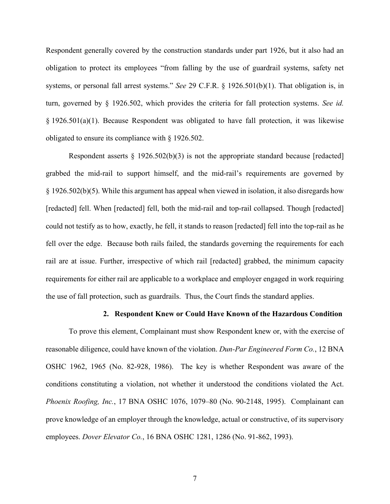Respondent generally covered by the construction standards under part 1926, but it also had an obligation to protect its employees "from falling by the use of guardrail systems, safety net systems, or personal fall arrest systems." *See* 29 C.F.R. § 1926.501(b)(1). That obligation is, in turn, governed by § 1926.502, which provides the criteria for fall protection systems. *See id.*  § 1926.501(a)(1). Because Respondent was obligated to have fall protection, it was likewise obligated to ensure its compliance with § 1926.502.

Respondent asserts  $\S$  1926.502(b)(3) is not the appropriate standard because [redacted] grabbed the mid-rail to support himself, and the mid-rail's requirements are governed by § 1926.502(b)(5). While this argument has appeal when viewed in isolation, it also disregards how [redacted] fell. When [redacted] fell, both the mid-rail and top-rail collapsed. Though [redacted] could not testify as to how, exactly, he fell, it stands to reason [redacted] fell into the top-rail as he fell over the edge. Because both rails failed, the standards governing the requirements for each rail are at issue. Further, irrespective of which rail [redacted] grabbed, the minimum capacity requirements for either rail are applicable to a workplace and employer engaged in work requiring the use of fall protection, such as guardrails. Thus, the Court finds the standard applies.

#### **2. Respondent Knew or Could Have Known of the Hazardous Condition**

To prove this element, Complainant must show Respondent knew or, with the exercise of reasonable diligence, could have known of the violation. *Dun-Par Engineered Form Co.*, 12 BNA OSHC 1962, 1965 (No. 82-928, 1986). The key is whether Respondent was aware of the conditions constituting a violation, not whether it understood the conditions violated the Act. *Phoenix Roofing, Inc.*, 17 BNA OSHC 1076, 1079–80 (No. 90-2148, 1995). Complainant can prove knowledge of an employer through the knowledge, actual or constructive, of its supervisory employees. *Dover Elevator Co.*, 16 BNA OSHC 1281, 1286 (No. 91-862, 1993).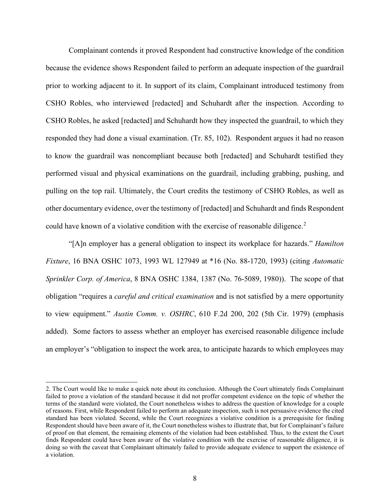Complainant contends it proved Respondent had constructive knowledge of the condition because the evidence shows Respondent failed to perform an adequate inspection of the guardrail prior to working adjacent to it. In support of its claim, Complainant introduced testimony from CSHO Robles, who interviewed [redacted] and Schuhardt after the inspection. According to CSHO Robles, he asked [redacted] and Schuhardt how they inspected the guardrail, to which they responded they had done a visual examination. (Tr. 85, 102). Respondent argues it had no reason to know the guardrail was noncompliant because both [redacted] and Schuhardt testified they performed visual and physical examinations on the guardrail, including grabbing, pushing, and pulling on the top rail. Ultimately, the Court credits the testimony of CSHO Robles, as well as other documentary evidence, over the testimony of [redacted] and Schuhardt and finds Respondent could have known of a violative condition with the exercise of reasonable diligence.<sup>[2](#page-7-0)</sup>

"[A]n employer has a general obligation to inspect its workplace for hazards." *Hamilton Fixture*, 16 BNA OSHC 1073, 1993 WL 127949 at \*16 (No. 88-1720, 1993) (citing *Automatic Sprinkler Corp. of America*, 8 BNA OSHC 1384, 1387 (No. 76-5089, 1980)). The scope of that obligation "requires a *careful and critical examination* and is not satisfied by a mere opportunity to view equipment." *Austin Comm. v. OSHRC*, 610 F.2d 200, 202 (5th Cir. 1979) (emphasis added). Some factors to assess whether an employer has exercised reasonable diligence include an employer's "obligation to inspect the work area, to anticipate hazards to which employees may

<span id="page-7-0"></span><sup>2.</sup> The Court would like to make a quick note about its conclusion. Although the Court ultimately finds Complainant failed to prove a violation of the standard because it did not proffer competent evidence on the topic of whether the terms of the standard were violated, the Court nonetheless wishes to address the question of knowledge for a couple of reasons. First, while Respondent failed to perform an adequate inspection, such is not persuasive evidence the cited standard has been violated. Second, while the Court recognizes a violative condition is a prerequisite for finding Respondent should have been aware of it, the Court nonetheless wishes to illustrate that, but for Complainant's failure of proof on that element, the remaining elements of the violation had been established. Thus, to the extent the Court finds Respondent could have been aware of the violative condition with the exercise of reasonable diligence, it is doing so with the caveat that Complainant ultimately failed to provide adequate evidence to support the existence of a violation.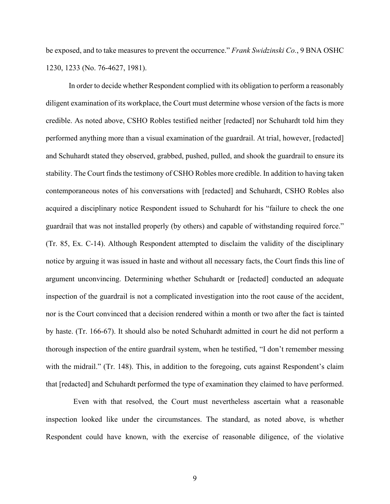be exposed, and to take measures to prevent the occurrence." *Frank Swidzinski Co.*, 9 BNA OSHC 1230, 1233 (No. 76-4627, 1981).

In order to decide whether Respondent complied with its obligation to perform a reasonably diligent examination of its workplace, the Court must determine whose version of the facts is more credible. As noted above, CSHO Robles testified neither [redacted] nor Schuhardt told him they performed anything more than a visual examination of the guardrail. At trial, however, [redacted] and Schuhardt stated they observed, grabbed, pushed, pulled, and shook the guardrail to ensure its stability. The Court finds the testimony of CSHO Robles more credible. In addition to having taken contemporaneous notes of his conversations with [redacted] and Schuhardt, CSHO Robles also acquired a disciplinary notice Respondent issued to Schuhardt for his "failure to check the one guardrail that was not installed properly (by others) and capable of withstanding required force." (Tr. 85, Ex. C-14). Although Respondent attempted to disclaim the validity of the disciplinary notice by arguing it was issued in haste and without all necessary facts, the Court finds this line of argument unconvincing. Determining whether Schuhardt or [redacted] conducted an adequate inspection of the guardrail is not a complicated investigation into the root cause of the accident, nor is the Court convinced that a decision rendered within a month or two after the fact is tainted by haste. (Tr. 166-67). It should also be noted Schuhardt admitted in court he did not perform a thorough inspection of the entire guardrail system, when he testified, "I don't remember messing with the midrail." (Tr. 148). This, in addition to the foregoing, cuts against Respondent's claim that [redacted] and Schuhardt performed the type of examination they claimed to have performed.

 Even with that resolved, the Court must nevertheless ascertain what a reasonable inspection looked like under the circumstances. The standard, as noted above, is whether Respondent could have known, with the exercise of reasonable diligence, of the violative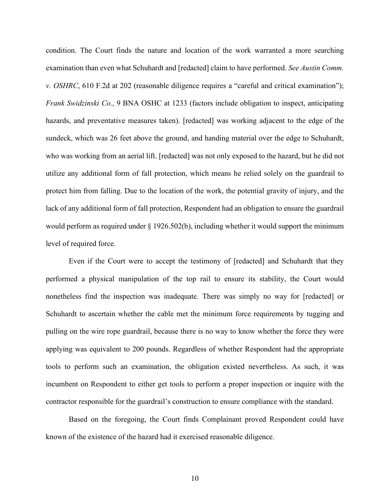condition. The Court finds the nature and location of the work warranted a more searching examination than even what Schuhardt and [redacted] claim to have performed. *See Austin Comm. v. OSHRC*, 610 F.2d at 202 (reasonable diligence requires a "careful and critical examination"); *Frank Swidzinski Co.*, 9 BNA OSHC at 1233 (factors include obligation to inspect, anticipating hazards, and preventative measures taken). [redacted] was working adjacent to the edge of the sundeck, which was 26 feet above the ground, and handing material over the edge to Schuhardt, who was working from an aerial lift. [redacted] was not only exposed to the hazard, but he did not utilize any additional form of fall protection, which means he relied solely on the guardrail to protect him from falling. Due to the location of the work, the potential gravity of injury, and the lack of any additional form of fall protection, Respondent had an obligation to ensure the guardrail would perform as required under § 1926.502(b), including whether it would support the minimum level of required force.

Even if the Court were to accept the testimony of [redacted] and Schuhardt that they performed a physical manipulation of the top rail to ensure its stability, the Court would nonetheless find the inspection was inadequate. There was simply no way for [redacted] or Schuhardt to ascertain whether the cable met the minimum force requirements by tugging and pulling on the wire rope guardrail, because there is no way to know whether the force they were applying was equivalent to 200 pounds. Regardless of whether Respondent had the appropriate tools to perform such an examination, the obligation existed nevertheless. As such, it was incumbent on Respondent to either get tools to perform a proper inspection or inquire with the contractor responsible for the guardrail's construction to ensure compliance with the standard.

Based on the foregoing, the Court finds Complainant proved Respondent could have known of the existence of the hazard had it exercised reasonable diligence.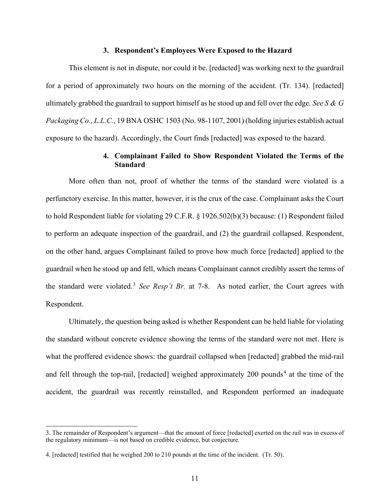### **3. Respondent's Employees Were Exposed to the Hazard**

This element is not in dispute, nor could it be. [redacted] was working next to the guardrail for a period of approximately two hours on the morning of the accident. (Tr. 134). [redacted] ultimately grabbed the guardrail to support himself as he stood up and fell over the edge. *See S & G Packaging Co., L.L.C.*, 19 BNA OSHC 1503 (No. 98-1107, 2001) (holding injuries establish actual exposure to the hazard). Accordingly, the Court finds [redacted] was exposed to the hazard.

### **4. Complainant Failed to Show Respondent Violated the Terms of the Standard**

More often than not, proof of whether the terms of the standard were violated is a perfunctory exercise. In this matter, however, it is the crux of the case. Complainant asks the Court to hold Respondent liable for violating 29 C.F.R. § 1926.502(b)(3) because: (1) Respondent failed to perform an adequate inspection of the guardrail, and (2) the guardrail collapsed. Respondent, on the other hand, argues Complainant failed to prove how much force [redacted] applied to the guardrail when he stood up and fell, which means Complainant cannot credibly assert the terms of the standard were violated.<sup>[3](#page-10-0)</sup> *See Resp't Br.* at 7-8. As noted earlier, the Court agrees with Respondent.

Ultimately, the question being asked is whether Respondent can be held liable for violating the standard without concrete evidence showing the terms of the standard were not met. Here is what the proffered evidence shows: the guardrail collapsed when [redacted] grabbed the mid-rail and fell through the top-rail, [redacted] weighed approximately  $200$  pounds<sup>[4](#page-10-1)</sup> at the time of the accident, the guardrail was recently reinstalled, and Respondent performed an inadequate

<span id="page-10-0"></span><sup>3.</sup> The remainder of Respondent's argument—that the amount of force [redacted] exerted on the rail was in excess of the regulatory minimum—is not based on credible evidence, but conjecture.

<span id="page-10-1"></span><sup>4. [</sup>redacted] testified that he weighed 200 to 210 pounds at the time of the incident. (Tr. 50).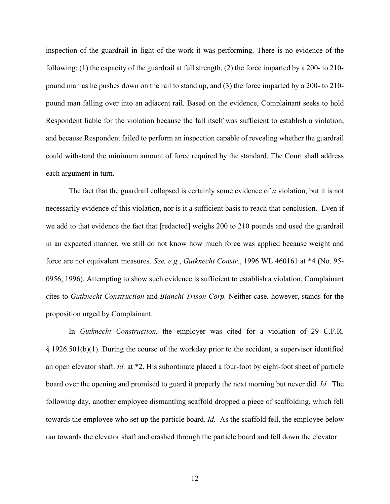inspection of the guardrail in light of the work it was performing. There is no evidence of the following: (1) the capacity of the guardrail at full strength, (2) the force imparted by a 200- to 210 pound man as he pushes down on the rail to stand up, and (3) the force imparted by a 200- to 210 pound man falling over into an adjacent rail. Based on the evidence, Complainant seeks to hold Respondent liable for the violation because the fall itself was sufficient to establish a violation, and because Respondent failed to perform an inspection capable of revealing whether the guardrail could withstand the minimum amount of force required by the standard. The Court shall address each argument in turn.

The fact that the guardrail collapsed is certainly some evidence of *a* violation, but it is not necessarily evidence of this violation, nor is it a sufficient basis to reach that conclusion. Even if we add to that evidence the fact that [redacted] weighs 200 to 210 pounds and used the guardrail in an expected manner, we still do not know how much force was applied because weight and force are not equivalent measures. *See, e.g.*, *Gutknecht Constr.*, 1996 WL 460161 at \*4 (No. 95- 0956, 1996). Attempting to show such evidence is sufficient to establish a violation, Complainant cites to *Gutknecht Construction* and *Bianchi Trison Corp.* Neither case, however, stands for the proposition urged by Complainant.

In *Gutknecht Construction*, the employer was cited for a violation of 29 C.F.R. § 1926.501(b)(1). During the course of the workday prior to the accident, a supervisor identified an open elevator shaft. *Id.* at \*2. His subordinate placed a four-foot by eight-foot sheet of particle board over the opening and promised to guard it properly the next morning but never did. *Id.* The following day, another employee dismantling scaffold dropped a piece of scaffolding, which fell towards the employee who set up the particle board. *Id.* As the scaffold fell, the employee below ran towards the elevator shaft and crashed through the particle board and fell down the elevator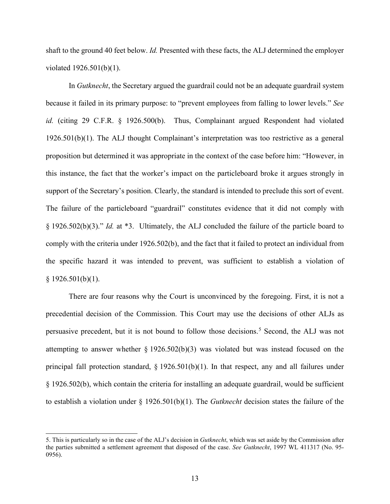shaft to the ground 40 feet below. *Id.* Presented with these facts, the ALJ determined the employer violated 1926.501(b)(1).

In *Gutknecht*, the Secretary argued the guardrail could not be an adequate guardrail system because it failed in its primary purpose: to "prevent employees from falling to lower levels." *See id.* (citing 29 C.F.R. § 1926.500(b). Thus, Complainant argued Respondent had violated 1926.501(b)(1). The ALJ thought Complainant's interpretation was too restrictive as a general proposition but determined it was appropriate in the context of the case before him: "However, in this instance, the fact that the worker's impact on the particleboard broke it argues strongly in support of the Secretary's position. Clearly, the standard is intended to preclude this sort of event. The failure of the particleboard "guardrail" constitutes evidence that it did not comply with § 1926.502(b)(3)." *Id.* at \*3. Ultimately, the ALJ concluded the failure of the particle board to comply with the criteria under 1926.502(b), and the fact that it failed to protect an individual from the specific hazard it was intended to prevent, was sufficient to establish a violation of  $§$  1926.501(b)(1).

There are four reasons why the Court is unconvinced by the foregoing. First, it is not a precedential decision of the Commission. This Court may use the decisions of other ALJs as persuasive precedent, but it is not bound to follow those decisions.<sup>[5](#page-12-0)</sup> Second, the ALJ was not attempting to answer whether § 1926.502(b)(3) was violated but was instead focused on the principal fall protection standard, § 1926.501(b)(1). In that respect, any and all failures under § 1926.502(b), which contain the criteria for installing an adequate guardrail, would be sufficient to establish a violation under § 1926.501(b)(1). The *Gutknecht* decision states the failure of the

<span id="page-12-0"></span><sup>5.</sup> This is particularly so in the case of the ALJ's decision in *Gutknecht*, which was set aside by the Commission after the parties submitted a settlement agreement that disposed of the case. *See Gutknecht*, 1997 WL 411317 (No. 95- 0956).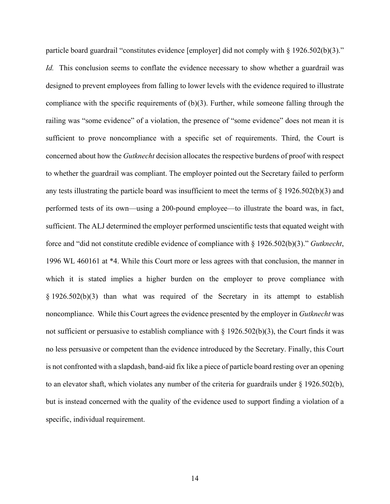particle board guardrail "constitutes evidence [employer] did not comply with § 1926.502(b)(3)." *Id.* This conclusion seems to conflate the evidence necessary to show whether a guardrail was designed to prevent employees from falling to lower levels with the evidence required to illustrate compliance with the specific requirements of (b)(3). Further, while someone falling through the railing was "some evidence" of a violation, the presence of "some evidence" does not mean it is sufficient to prove noncompliance with a specific set of requirements. Third, the Court is concerned about how the *Gutknecht* decision allocates the respective burdens of proof with respect to whether the guardrail was compliant. The employer pointed out the Secretary failed to perform any tests illustrating the particle board was insufficient to meet the terms of § 1926.502(b)(3) and performed tests of its own—using a 200-pound employee—to illustrate the board was, in fact, sufficient. The ALJ determined the employer performed unscientific tests that equated weight with force and "did not constitute credible evidence of compliance with § 1926.502(b)(3)." *Gutknecht*, 1996 WL 460161 at \*4. While this Court more or less agrees with that conclusion, the manner in which it is stated implies a higher burden on the employer to prove compliance with § 1926.502(b)(3) than what was required of the Secretary in its attempt to establish noncompliance. While this Court agrees the evidence presented by the employer in *Gutknecht* was not sufficient or persuasive to establish compliance with  $\S 1926.502(b)(3)$ , the Court finds it was no less persuasive or competent than the evidence introduced by the Secretary. Finally, this Court is not confronted with a slapdash, band-aid fix like a piece of particle board resting over an opening to an elevator shaft, which violates any number of the criteria for guardrails under § 1926.502(b), but is instead concerned with the quality of the evidence used to support finding a violation of a specific, individual requirement.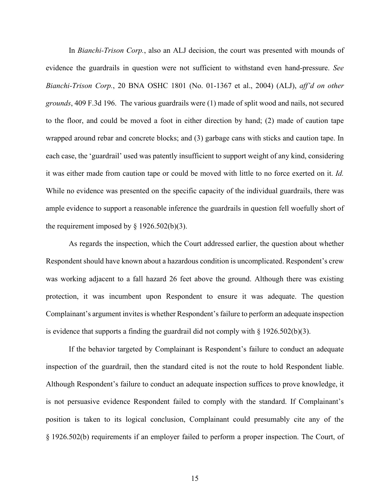In *Bianchi-Trison Corp.*, also an ALJ decision, the court was presented with mounds of evidence the guardrails in question were not sufficient to withstand even hand-pressure. *See Bianchi-Trison Corp.*, 20 BNA OSHC 1801 (No. 01-1367 et al., 2004) (ALJ), *aff'd on other grounds*, 409 F.3d 196. The various guardrails were (1) made of split wood and nails, not secured to the floor, and could be moved a foot in either direction by hand; (2) made of caution tape wrapped around rebar and concrete blocks; and (3) garbage cans with sticks and caution tape. In each case, the 'guardrail' used was patently insufficient to support weight of any kind, considering it was either made from caution tape or could be moved with little to no force exerted on it. *Id.* While no evidence was presented on the specific capacity of the individual guardrails, there was ample evidence to support a reasonable inference the guardrails in question fell woefully short of the requirement imposed by  $\S$  1926.502(b)(3).

As regards the inspection, which the Court addressed earlier, the question about whether Respondent should have known about a hazardous condition is uncomplicated. Respondent's crew was working adjacent to a fall hazard 26 feet above the ground. Although there was existing protection, it was incumbent upon Respondent to ensure it was adequate. The question Complainant's argument invites is whether Respondent's failure to perform an adequate inspection is evidence that supports a finding the guardrail did not comply with  $\S 1926.502(b)(3)$ .

If the behavior targeted by Complainant is Respondent's failure to conduct an adequate inspection of the guardrail, then the standard cited is not the route to hold Respondent liable. Although Respondent's failure to conduct an adequate inspection suffices to prove knowledge, it is not persuasive evidence Respondent failed to comply with the standard. If Complainant's position is taken to its logical conclusion, Complainant could presumably cite any of the § 1926.502(b) requirements if an employer failed to perform a proper inspection. The Court, of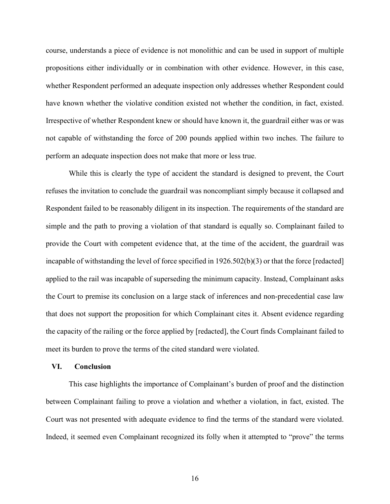course, understands a piece of evidence is not monolithic and can be used in support of multiple propositions either individually or in combination with other evidence. However, in this case, whether Respondent performed an adequate inspection only addresses whether Respondent could have known whether the violative condition existed not whether the condition, in fact, existed. Irrespective of whether Respondent knew or should have known it, the guardrail either was or was not capable of withstanding the force of 200 pounds applied within two inches. The failure to perform an adequate inspection does not make that more or less true.

While this is clearly the type of accident the standard is designed to prevent, the Court refuses the invitation to conclude the guardrail was noncompliant simply because it collapsed and Respondent failed to be reasonably diligent in its inspection. The requirements of the standard are simple and the path to proving a violation of that standard is equally so. Complainant failed to provide the Court with competent evidence that, at the time of the accident, the guardrail was incapable of withstanding the level of force specified in 1926.502(b)(3) or that the force [redacted] applied to the rail was incapable of superseding the minimum capacity. Instead, Complainant asks the Court to premise its conclusion on a large stack of inferences and non-precedential case law that does not support the proposition for which Complainant cites it. Absent evidence regarding the capacity of the railing or the force applied by [redacted], the Court finds Complainant failed to meet its burden to prove the terms of the cited standard were violated.

### **VI. Conclusion**

This case highlights the importance of Complainant's burden of proof and the distinction between Complainant failing to prove a violation and whether a violation, in fact, existed. The Court was not presented with adequate evidence to find the terms of the standard were violated. Indeed, it seemed even Complainant recognized its folly when it attempted to "prove" the terms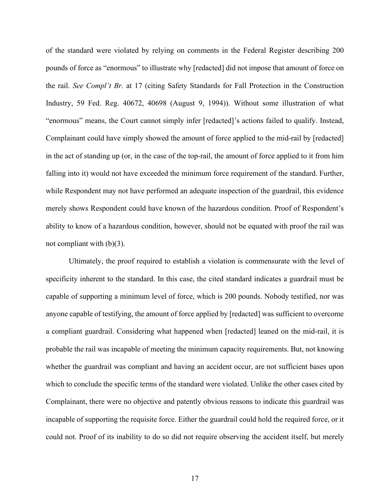of the standard were violated by relying on comments in the Federal Register describing 200 pounds of force as "enormous" to illustrate why [redacted] did not impose that amount of force on the rail. *See Compl't Br.* at 17 (citing Safety Standards for Fall Protection in the Construction Industry, 59 Fed. Reg. 40672, 40698 (August 9, 1994)). Without some illustration of what "enormous" means, the Court cannot simply infer [redacted]'s actions failed to qualify. Instead, Complainant could have simply showed the amount of force applied to the mid-rail by [redacted] in the act of standing up (or, in the case of the top-rail, the amount of force applied to it from him falling into it) would not have exceeded the minimum force requirement of the standard. Further, while Respondent may not have performed an adequate inspection of the guardrail, this evidence merely shows Respondent could have known of the hazardous condition. Proof of Respondent's ability to know of a hazardous condition, however, should not be equated with proof the rail was not compliant with  $(b)(3)$ .

Ultimately, the proof required to establish a violation is commensurate with the level of specificity inherent to the standard. In this case, the cited standard indicates a guardrail must be capable of supporting a minimum level of force, which is 200 pounds. Nobody testified, nor was anyone capable of testifying, the amount of force applied by [redacted] was sufficient to overcome a compliant guardrail. Considering what happened when [redacted] leaned on the mid-rail, it is probable the rail was incapable of meeting the minimum capacity requirements. But, not knowing whether the guardrail was compliant and having an accident occur, are not sufficient bases upon which to conclude the specific terms of the standard were violated. Unlike the other cases cited by Complainant, there were no objective and patently obvious reasons to indicate this guardrail was incapable of supporting the requisite force. Either the guardrail could hold the required force, or it could not. Proof of its inability to do so did not require observing the accident itself, but merely